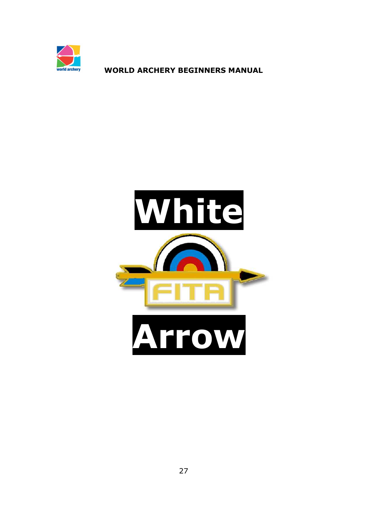

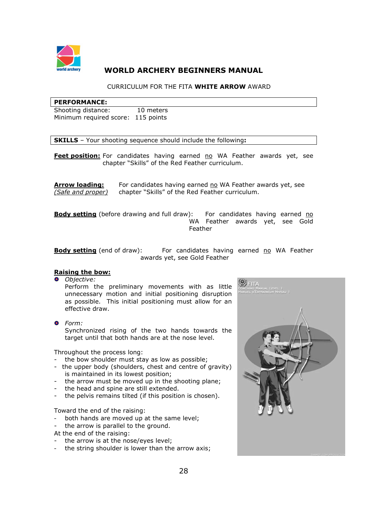

## CURRICULUM FOR THE FITA **WHITE ARROW** AWARD

#### **PERFORMANCE:**

Shooting distance: 10 meters Minimum required score: 115 points

**SKILLS** – Your shooting sequence should include the following**:** 

Feet position: For candidates having earned no WA Feather awards yet, see chapter "Skills" of the Red Feather curriculum.

**Arrow loading:** For candidates having earned no WA Feather awards yet, see *(Safe and proper)* chapter "Skills" of the Red Feather curriculum.

**Body setting** (before drawing and full draw): For candidates having earned no WA Feather awards yet, see Gold Feather

**Body setting** (end of draw): For candidates having earned no WA Feather awards yet, see Gold Feather

### **Raising the bow:**

*Objective:* 

Perform the preliminary movements with as little unnecessary motion and initial positioning disruption as possible. This initial positioning must allow for an effective draw.

*Form:*  Synchronized rising of the two hands towards the target until that both hands are at the nose level.

Throughout the process long:

- the bow shoulder must stay as low as possible;
- the upper body (shoulders, chest and centre of gravity) is maintained in its lowest position;
- the arrow must be moved up in the shooting plane;
- the head and spine are still extended.
- the pelvis remains tilted (if this position is chosen).

Toward the end of the raising:

- both hands are moved up at the same level;
- the arrow is parallel to the ground.
- At the end of the raising:
- the arrow is at the nose/eyes level;
- the string shoulder is lower than the arrow axis;

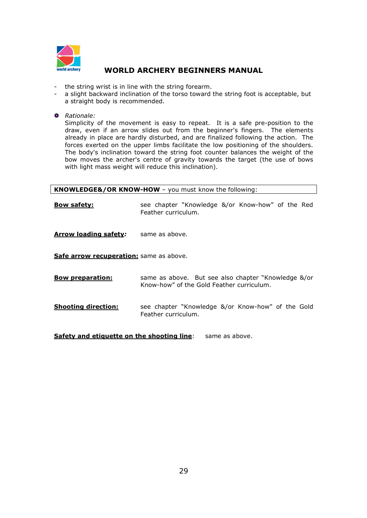

- the string wrist is in line with the string forearm.
- a slight backward inclination of the torso toward the string foot is acceptable, but a straight body is recommended.
- *Rationale:*

Simplicity of the movement is easy to repeat. It is a safe pre-position to the draw, even if an arrow slides out from the beginner's fingers. The elements already in place are hardly disturbed, and are finalized following the action. The forces exerted on the upper limbs facilitate the low positioning of the shoulders. The body's inclination toward the string foot counter balances the weight of the bow moves the archer's centre of gravity towards the target (the use of bows with light mass weight will reduce this inclination).

**KNOWLEDGE&/OR KNOW-HOW** – you must know the following:

**Bow safety:** see chapter "Knowledge &/or Know-how" of the Red Feather curriculum.

**Arrow loading safety**: same as above.

**Safe arrow recuperation:** same as above.

- **Bow preparation:** same as above. But see also chapter "Knowledge &/or Know-how" of the Gold Feather curriculum.
- **Shooting direction:** see chapter "Knowledge &/or Know-how" of the Gold Feather curriculum.

**Safety and etiquette on the shooting line:** same as above.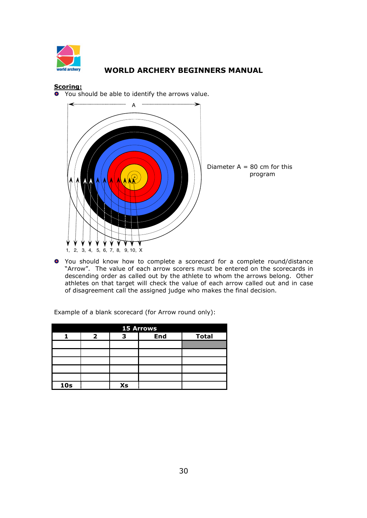

## **Scoring:**

You should be able to identify the arrows value.



You should know how to complete a scorecard for a complete round/distance "Arrow". The value of each arrow scorers must be entered on the scorecards in descending order as called out by the athlete to whom the arrows belong. Other athletes on that target will check the value of each arrow called out and in case of disagreement call the assigned judge who makes the final decision.

| <b>15 Arrows</b> |  |    |            |              |  |
|------------------|--|----|------------|--------------|--|
|                  |  |    | <b>End</b> | <b>Total</b> |  |
|                  |  |    |            |              |  |
|                  |  |    |            |              |  |
|                  |  |    |            |              |  |
|                  |  |    |            |              |  |
|                  |  |    |            |              |  |
| 10 <sub>s</sub>  |  | Xs |            |              |  |

Example of a blank scorecard (for Arrow round only):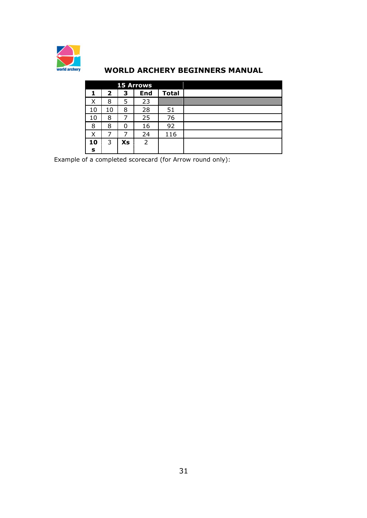

|    |              |    | <b>15 Arrows</b> |              |  |
|----|--------------|----|------------------|--------------|--|
| 1  | $\mathbf{2}$ | з  | <b>End</b>       | <b>Total</b> |  |
| Χ  | 8            | 5  | 23               |              |  |
| 10 | 10           | 8  | 28               | 51           |  |
| 10 | 8            |    | 25               | 76           |  |
| 8  | 8            | 0  | 16               | 92           |  |
| Χ  | 7            |    | 24               | 116          |  |
| 10 | 3            | Xs | 2                |              |  |
| s  |              |    |                  |              |  |

Example of a completed scorecard (for Arrow round only):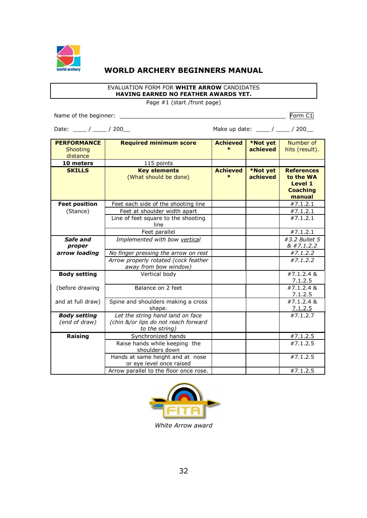

### EVALUATION FORM FOR **WHITE ARROW** CANDIDATES **HAVING EARNED NO FEATHER AWARDS YET.**

Page #1 (start /front page)

Name of the beginner: Form C1

Date: \_\_\_\_ / \_\_\_\_ / 200\_\_ Make up date: \_\_\_ / \_\_\_ / 200\_

| <b>PERFORMANCE</b>                   | <b>Required minimum score</b>                                                              | <b>Achieved</b>           | *Not yet             | Number of                                                                     |
|--------------------------------------|--------------------------------------------------------------------------------------------|---------------------------|----------------------|-------------------------------------------------------------------------------|
| Shooting                             |                                                                                            | $\star$                   | achieved             | hits (result).                                                                |
| distance                             |                                                                                            |                           |                      |                                                                               |
| 10 meters                            | 115 points                                                                                 |                           |                      |                                                                               |
| <b>SKILLS</b>                        | <b>Key elements</b><br>(What should be done)                                               | <b>Achieved</b><br>$\ast$ | *Not yet<br>achieved | <b>References</b><br>to the WA<br><b>Level 1</b><br><b>Coaching</b><br>manual |
| <b>Feet position</b>                 | Feet each side of the shooting line                                                        |                           |                      | #7.1.2.1                                                                      |
| (Stance)                             | Feet at shoulder width apart                                                               |                           |                      | #7.1.2.1                                                                      |
|                                      | Line of feet square to the shooting<br>line                                                |                           |                      | #7.1.2.1                                                                      |
|                                      | Feet parallel                                                                              |                           |                      | #7.1.2.1                                                                      |
| Safe and                             | Implemented with bow vertical                                                              |                           |                      | #3.2 Bullet 5                                                                 |
| proper                               |                                                                                            |                           |                      | & 47.1.2.2                                                                    |
| arrow loading                        | No finger pressing the arrow on rest                                                       |                           |                      | #7.1.2.2                                                                      |
|                                      | Arrow properly rotated (cock feather<br>away from bow window)                              |                           |                      | #7.1.2.2                                                                      |
| <b>Body setting</b>                  | Vertical body                                                                              |                           |                      | #7.1.2.4 &<br>7.1.2.5                                                         |
| (before drawing                      | Balance on 2 feet                                                                          |                           |                      | #7.1.2.4 &<br>7.1.2.5                                                         |
| and at full draw)                    | Spine and shoulders making a cross<br>shape.                                               |                           |                      | #7.1.2.4 &<br>7.1.2.5                                                         |
| <b>Body setting</b><br>(end of draw) | Let the string hand land on face<br>(chin &/or lips do not reach forward<br>to the string) |                           |                      | #7.1.2.7                                                                      |
| Raising                              | Synchronized hands                                                                         |                           |                      | #7.1.2.5                                                                      |
|                                      | Raise hands while keeping the<br>shoulders down                                            |                           |                      | #7.1.2.5                                                                      |
|                                      | Hands at same height and at nose<br>or eye level once raised                               |                           |                      | #7.1.2.5                                                                      |
|                                      | Arrow parallel to the floor once rose.                                                     |                           |                      | #7.1.2.5                                                                      |



*White Arrow award*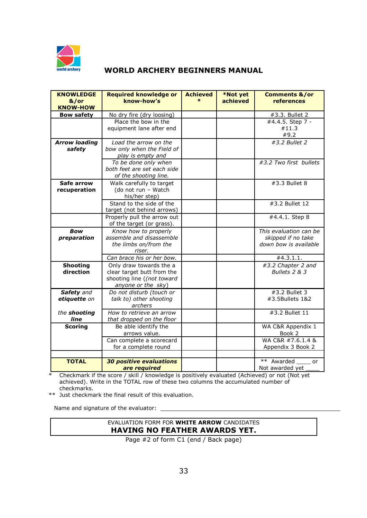

| <b>KNOWLEDGE</b><br>&/or<br><b>KNOW-HOW</b> | <b>Required knowledge or</b><br>know-how's                                                                | <b>Achieved</b><br>$\ast$ | *Not yet<br>achieved | <b>Comments &amp;/or</b><br>references                                |
|---------------------------------------------|-----------------------------------------------------------------------------------------------------------|---------------------------|----------------------|-----------------------------------------------------------------------|
| <b>Bow safety</b>                           | No dry fire (dry loosing)                                                                                 |                           |                      | #3.3. Bullet 2                                                        |
|                                             | Place the bow in the<br>equipment lane after end                                                          |                           |                      | #4.4.5. Step 7 -<br>#11.3<br>#9.2                                     |
| <b>Arrow loading</b><br>safety              | Load the arrow on the<br>bow only when the Field of<br>play is empty and                                  |                           |                      | #3.2 Bullet 2                                                         |
|                                             | To be done only when<br>both feet are set each side<br>of the shooting line.                              |                           |                      | #3.2 Two first bullets                                                |
| Safe arrow<br>recuperation                  | Walk carefully to target<br>(do not run - Watch<br>his/her step)                                          |                           |                      | #3.3 Bullet 8                                                         |
|                                             | Stand to the side of the<br>target (not behind arrows)                                                    |                           |                      | #3.2 Bullet 12                                                        |
|                                             | Properly pull the arrow out<br>of the target (or grass).                                                  |                           |                      | #4.4.1. Step 8                                                        |
| <b>Bow</b><br>preparation                   | Know how to properly<br>assemble and disassemble<br>the limbs on/from the<br>riser.                       |                           |                      | This evaluation can be<br>skipped if no take<br>down bow is available |
|                                             | Can brace his or her bow.                                                                                 |                           |                      | #4.3.1.1.                                                             |
| <b>Shooting</b><br>direction                | Only draw towards the a<br>clear target butt from the<br>shooting line ((not toward<br>anyone or the sky) |                           |                      | #3.2 Chapter 2 and<br>Bullets 2 & 3                                   |
| Safety and<br>etiquette on                  | Do not disturb (touch or<br>talk to) other shooting<br>archers                                            |                           |                      | #3.2 Bullet 3<br>#3.5Bullets 1&2                                      |
| the shooting<br>line                        | How to retrieve an arrow<br>that dropped on the floor                                                     |                           |                      | #3.2 Bullet 11                                                        |
| <b>Scoring</b>                              | Be able identify the<br>arrows value.                                                                     |                           |                      | WA C&R Appendix 1<br>Book 2                                           |
|                                             | Can complete a scorecard<br>for a complete round                                                          |                           |                      | WA C&R #7.6.1.4 &<br>Appendix 3 Book 2                                |
|                                             |                                                                                                           |                           |                      |                                                                       |
| <b>TOTAL</b>                                | <b>30 positive evaluations</b><br>are required                                                            |                           |                      | $***$<br>Awarded<br>or<br>Not awarded yet                             |

\* Checkmark if the score / skill / knowledge is positively evaluated (Achieved) or not (Not yet achieved). Write in the TOTAL row of these two columns the accumulated number of checkmarks.

\*\* Just checkmark the final result of this evaluation.

Name and signature of the evaluator: \_

## EVALUATION FORM FOR **WHITE ARROW** CANDIDATES **HAVING NO FEATHER AWARDS YET.**

Page #2 of form C1 (end / Back page)